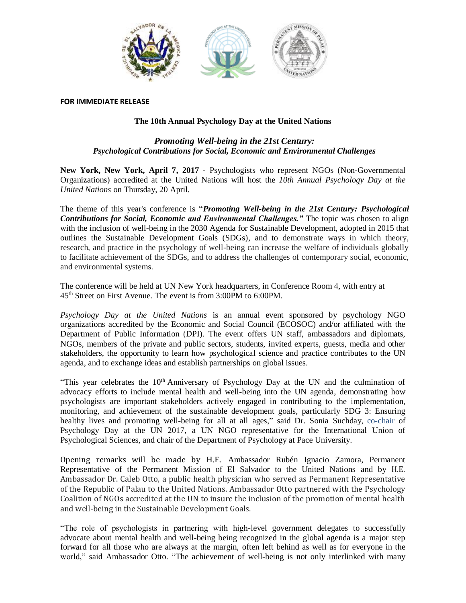

## **FOR IMMEDIATE RELEASE**

## **The 10th Annual Psychology Day at the United Nations**

## *Promoting Well-being in the 21st Century: Psychological Contributions for Social, Economic and Environmental Challenges*

**New York, New York, April 7, 2017** - Psychologists who represent NGOs (Non-Governmental Organizations) accredited at the United Nations will host the *10th Annual Psychology Day at the United Nations* on Thursday, 20 April.

The theme of this year's conference is "*Promoting Well-being in the 21st Century: Psychological Contributions for Social, Economic and Environmental Challenges."* The topic was chosen to align with the inclusion of well-being in the 2030 Agenda for Sustainable Development, adopted in 2015 that outlines the Sustainable Development Goals (SDGs), and to demonstrate ways in which theory, research, and practice in the psychology of well-being can increase the welfare of individuals globally to facilitate achievement of the SDGs, and to address the challenges of contemporary social, economic, and environmental systems.

The conference will be held at UN New York headquarters, in Conference Room 4, with entry at 45 th Street on First Avenue. The event is from 3:00PM to 6:00PM.

*Psychology Day at the United Nations* is an annual event sponsored by psychology NGO organizations accredited by the Economic and Social Council (ECOSOC) and/or affiliated with the Department of Public Information (DPI). The event offers UN staff, ambassadors and diplomats, NGOs, members of the private and public sectors, students, invited experts, guests, media and other stakeholders, the opportunity to learn how psychological science and practice contributes to the UN agenda, and to exchange ideas and establish partnerships on global issues.

"This year celebrates the  $10<sup>th</sup>$  Anniversary of Psychology Day at the UN and the culmination of advocacy efforts to include mental health and well-being into the UN agenda, demonstrating how psychologists are important stakeholders actively engaged in contributing to the implementation, monitoring, and achievement of the sustainable development goals, particularly SDG 3: Ensuring healthy lives and promoting well-being for all at all ages," said Dr. Sonia Suchday, co-chair of Psychology Day at the UN 2017, a UN NGO representative for the International Union of Psychological Sciences, and chair of the Department of Psychology at Pace University.

Opening remarks will be made by H.E. Ambassador Rubén Ignacio Zamora, Permanent Representative of the Permanent Mission of El Salvador to the United Nations and by H.E. Ambassador Dr. Caleb Otto, a public health physician who served as Permanent Representative of the Republic of Palau to the United Nations. Ambassador Otto partnered with the Psychology Coalition of NGOs accredited at the UN to insure the inclusion of the promotion of mental health and well-being in the Sustainable Development Goals.

"The role of psychologists in partnering with high-level government delegates to successfully advocate about mental health and well-being being recognized in the global agenda is a major step forward for all those who are always at the margin, often left behind as well as for everyone in the world," said Ambassador Otto. "The achievement of well-being is not only interlinked with many